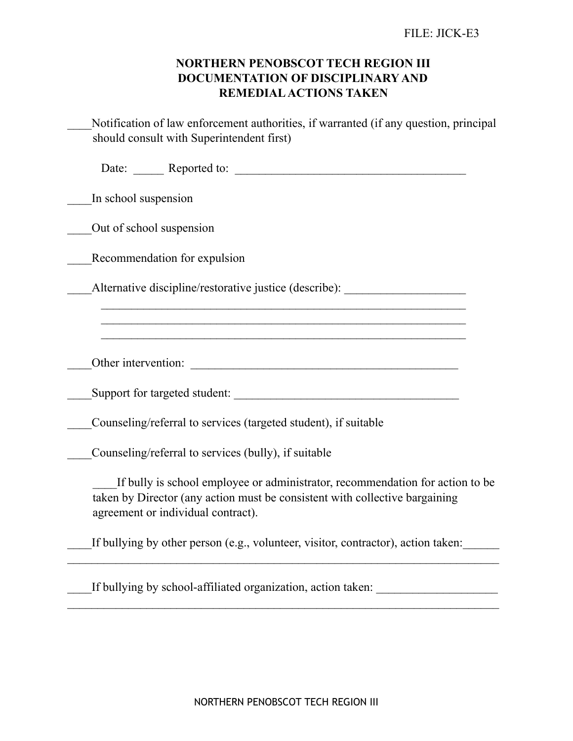## **NORTHERN PENOBSCOT TECH REGION III DOCUMENTATION OF DISCIPLINARY AND REMEDIAL ACTIONS TAKEN**

| Notification of law enforcement authorities, if warranted (if any question, principal<br>should consult with Superintendent first)                                                                 |
|----------------------------------------------------------------------------------------------------------------------------------------------------------------------------------------------------|
| Date: <u>Neported</u> to: <u>Neported to:</u> Neported to: Neptune 1997                                                                                                                            |
| In school suspension                                                                                                                                                                               |
| Out of school suspension                                                                                                                                                                           |
| Recommendation for expulsion                                                                                                                                                                       |
| Alternative discipline/restorative justice (describe): _________________________                                                                                                                   |
|                                                                                                                                                                                                    |
| Other intervention:                                                                                                                                                                                |
|                                                                                                                                                                                                    |
| Counseling/referral to services (targeted student), if suitable                                                                                                                                    |
| Counseling/referral to services (bully), if suitable                                                                                                                                               |
| If bully is school employee or administrator, recommendation for action to be<br>taken by Director (any action must be consistent with collective bargaining<br>agreement or individual contract). |
| If bullying by other person (e.g., volunteer, visitor, contractor), action taken:                                                                                                                  |
| If bullying by school-affiliated organization, action taken: ___________________                                                                                                                   |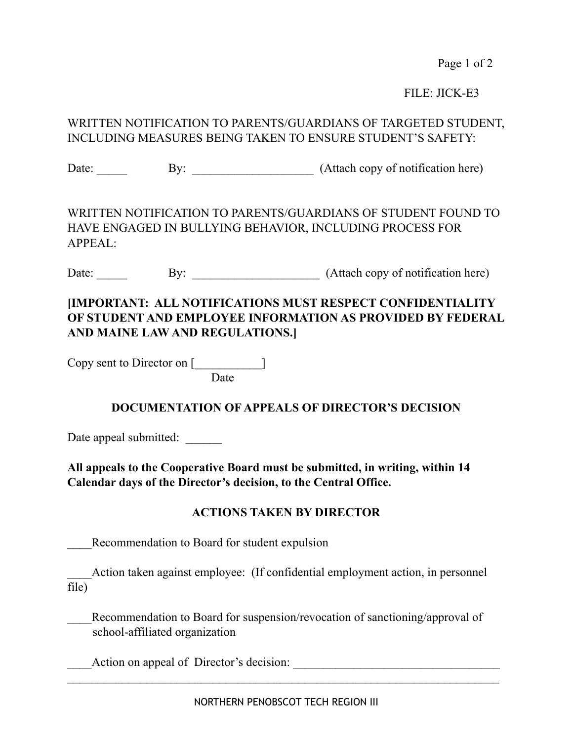Page 1 of 2

FILE: JICK-E3

## WRITTEN NOTIFICATION TO PARENTS/GUARDIANS OF TARGETED STUDENT, INCLUDING MEASURES BEING TAKEN TO ENSURE STUDENT'S SAFETY:

Date: <u>By: By: (Attach copy of notification here</u>)

WRITTEN NOTIFICATION TO PARENTS/GUARDIANS OF STUDENT FOUND TO HAVE ENGAGED IN BULLYING BEHAVIOR, INCLUDING PROCESS FOR APPEAL:

Date: \_\_\_\_\_ By: \_\_\_\_\_\_\_\_\_\_\_\_\_\_\_\_\_\_\_\_\_ (Attach copy of notification here)

# **[IMPORTANT: ALL NOTIFICATIONS MUST RESPECT CONFIDENTIALITY OF STUDENT AND EMPLOYEE INFORMATION AS PROVIDED BY FEDERAL AND MAINE LAW AND REGULATIONS.]**

Copy sent to Director on [\_\_\_\_\_\_\_\_\_\_\_]

Date

### **DOCUMENTATION OF APPEALS OF DIRECTOR'S DECISION**

Date appeal submitted:

**All appeals to the Cooperative Board must be submitted, in writing, within 14 Calendar days of the Director's decision, to the Central Office.** 

#### **ACTIONS TAKEN BY DIRECTOR**

Recommendation to Board for student expulsion

Action taken against employee: (If confidential employment action, in personnel file)

Recommendation to Board for suspension/revocation of sanctioning/approval of school-affiliated organization

Action on appeal of Director's decision: